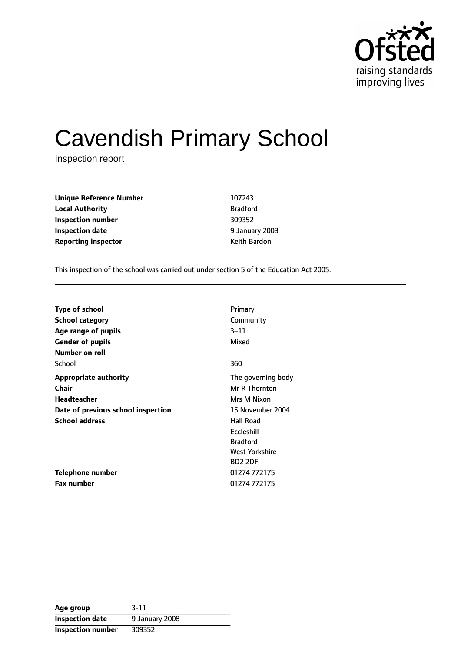

# Cavendish Primary School

Inspection report

**Unique Reference Number** 107243 **Local Authority** Bradford **Inspection number** 309352 **Inspection date** 6 **12 January 2008 Reporting inspector CONFIDENTIAL REPORTING KEITH BARDON** 

This inspection of the school was carried out under section 5 of the Education Act 2005.

| <b>Type of school</b>              | Primary            |
|------------------------------------|--------------------|
| School category                    | Community          |
| Age range of pupils                | $3 - 11$           |
| <b>Gender of pupils</b>            | Mixed              |
| Number on roll                     |                    |
| School                             | 360                |
| <b>Appropriate authority</b>       | The governing body |
| <b>Chair</b>                       | Mr R Thornton      |
| <b>Headteacher</b>                 | Mrs M Nixon        |
| Date of previous school inspection | 15 November 2004   |
| <b>School address</b>              | <b>Hall Road</b>   |
|                                    | Eccleshill         |
|                                    | <b>Bradford</b>    |
|                                    | West Yorkshire     |
|                                    | <b>BD2 2DF</b>     |
| Telephone number                   | 01274 772175       |
| <b>Fax number</b>                  | 01274 772175       |

| Age group                | $3 - 11$       |
|--------------------------|----------------|
| <b>Inspection date</b>   | 9 January 2008 |
| <b>Inspection number</b> | 309352         |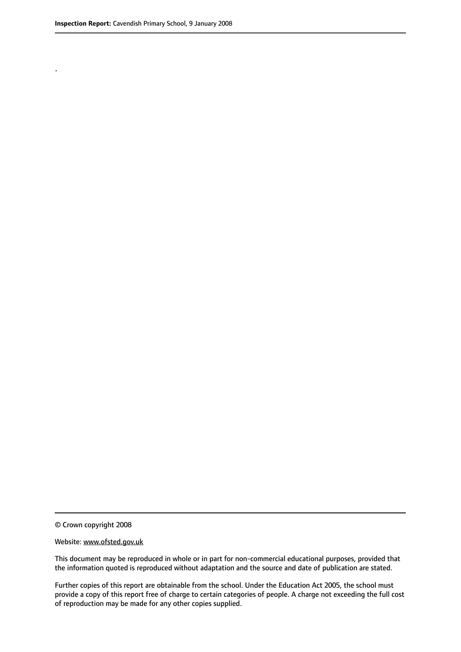.

© Crown copyright 2008

#### Website: www.ofsted.gov.uk

This document may be reproduced in whole or in part for non-commercial educational purposes, provided that the information quoted is reproduced without adaptation and the source and date of publication are stated.

Further copies of this report are obtainable from the school. Under the Education Act 2005, the school must provide a copy of this report free of charge to certain categories of people. A charge not exceeding the full cost of reproduction may be made for any other copies supplied.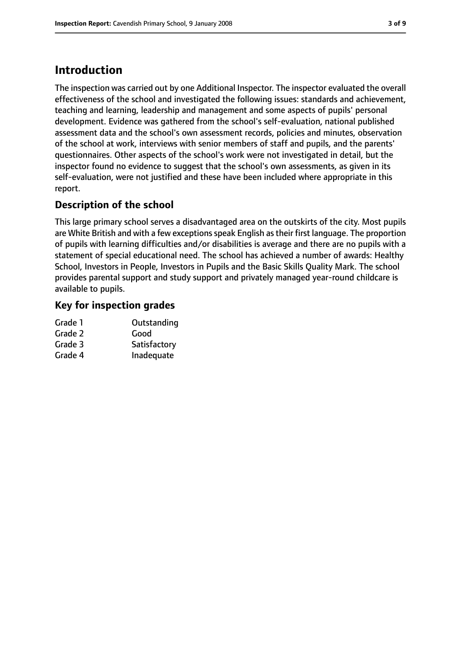# **Introduction**

The inspection was carried out by one Additional Inspector. The inspector evaluated the overall effectiveness of the school and investigated the following issues: standards and achievement, teaching and learning, leadership and management and some aspects of pupils' personal development. Evidence was gathered from the school's self-evaluation, national published assessment data and the school's own assessment records, policies and minutes, observation of the school at work, interviews with senior members of staff and pupils, and the parents' questionnaires. Other aspects of the school's work were not investigated in detail, but the inspector found no evidence to suggest that the school's own assessments, as given in its self-evaluation, were not justified and these have been included where appropriate in this report.

### **Description of the school**

This large primary school serves a disadvantaged area on the outskirts of the city. Most pupils are White British and with a few exceptions speak English as their first language. The proportion of pupils with learning difficulties and/or disabilities is average and there are no pupils with a statement of special educational need. The school has achieved a number of awards: Healthy School, Investors in People, Investors in Pupils and the Basic Skills Quality Mark. The school provides parental support and study support and privately managed year-round childcare is available to pupils.

### **Key for inspection grades**

| Outstanding  |
|--------------|
| Good         |
| Satisfactory |
| Inadequate   |
|              |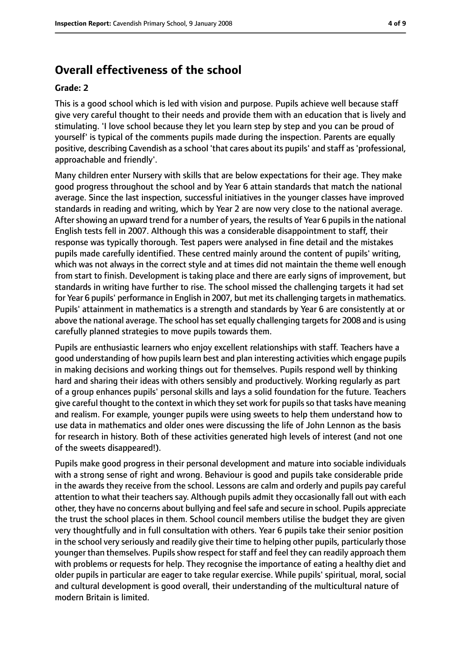## **Overall effectiveness of the school**

#### **Grade: 2**

This is a good school which is led with vision and purpose. Pupils achieve well because staff give very careful thought to their needs and provide them with an education that is lively and stimulating. 'I love school because they let you learn step by step and you can be proud of yourself' is typical of the comments pupils made during the inspection. Parents are equally positive, describing Cavendish as a school 'that cares about its pupils' and staff as'professional, approachable and friendly'.

Many children enter Nursery with skills that are below expectations for their age. They make good progress throughout the school and by Year 6 attain standards that match the national average. Since the last inspection, successful initiatives in the younger classes have improved standards in reading and writing, which by Year 2 are now very close to the national average. After showing an upward trend for a number of years, the results of Year 6 pupils in the national English tests fell in 2007. Although this was a considerable disappointment to staff, their response was typically thorough. Test papers were analysed in fine detail and the mistakes pupils made carefully identified. These centred mainly around the content of pupils' writing, which was not always in the correct style and at times did not maintain the theme well enough from start to finish. Development is taking place and there are early signs of improvement, but standards in writing have further to rise. The school missed the challenging targets it had set for Year 6 pupils' performance in English in 2007, but met its challenging targets in mathematics. Pupils' attainment in mathematics is a strength and standards by Year 6 are consistently at or above the national average. The school has set equally challenging targets for 2008 and is using carefully planned strategies to move pupils towards them.

Pupils are enthusiastic learners who enjoy excellent relationships with staff. Teachers have a good understanding of how pupils learn best and plan interesting activities which engage pupils in making decisions and working things out for themselves. Pupils respond well by thinking hard and sharing their ideas with others sensibly and productively. Working regularly as part of a group enhances pupils' personal skills and lays a solid foundation for the future. Teachers give careful thought to the context in which they set work for pupils so that tasks have meaning and realism. For example, younger pupils were using sweets to help them understand how to use data in mathematics and older ones were discussing the life of John Lennon as the basis for research in history. Both of these activities generated high levels of interest (and not one of the sweets disappeared!).

Pupils make good progress in their personal development and mature into sociable individuals with a strong sense of right and wrong. Behaviour is good and pupils take considerable pride in the awards they receive from the school. Lessons are calm and orderly and pupils pay careful attention to what their teachers say. Although pupils admit they occasionally fall out with each other, they have no concerns about bullying and feelsafe and secure in school. Pupils appreciate the trust the school places in them. School council members utilise the budget they are given very thoughtfully and in full consultation with others. Year 6 pupils take their senior position in the school very seriously and readily give their time to helping other pupils, particularly those younger than themselves. Pupils show respect for staff and feel they can readily approach them with problems or requests for help. They recognise the importance of eating a healthy diet and older pupils in particular are eager to take regular exercise. While pupils' spiritual, moral, social and cultural development is good overall, their understanding of the multicultural nature of modern Britain is limited.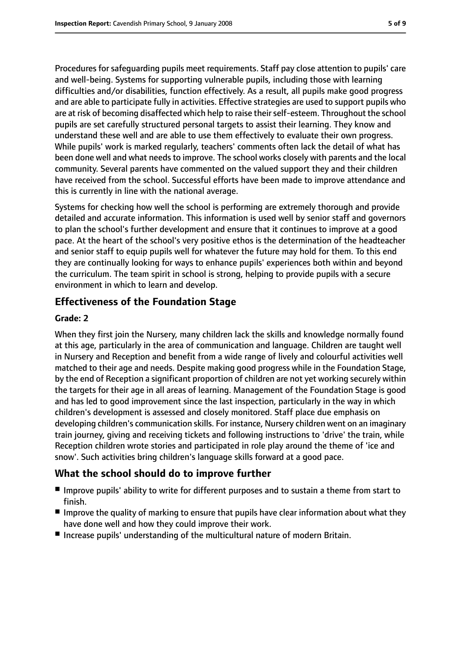Procedures for safeguarding pupils meet requirements. Staff pay close attention to pupils' care and well-being. Systems for supporting vulnerable pupils, including those with learning difficulties and/or disabilities, function effectively. As a result, all pupils make good progress and are able to participate fully in activities. Effective strategies are used to support pupils who are at risk of becoming disaffected which help to raise their self-esteem. Throughout the school pupils are set carefully structured personal targets to assist their learning. They know and understand these well and are able to use them effectively to evaluate their own progress. While pupils' work is marked regularly, teachers' comments often lack the detail of what has been done well and what needs to improve. The school works closely with parents and the local community. Several parents have commented on the valued support they and their children have received from the school. Successful efforts have been made to improve attendance and this is currently in line with the national average.

Systems for checking how well the school is performing are extremely thorough and provide detailed and accurate information. This information is used well by senior staff and governors to plan the school's further development and ensure that it continues to improve at a good pace. At the heart of the school's very positive ethos is the determination of the headteacher and senior staff to equip pupils well for whatever the future may hold for them. To this end they are continually looking for ways to enhance pupils' experiences both within and beyond the curriculum. The team spirit in school is strong, helping to provide pupils with a secure environment in which to learn and develop.

### **Effectiveness of the Foundation Stage**

#### **Grade: 2**

When they first join the Nursery, many children lack the skills and knowledge normally found at this age, particularly in the area of communication and language. Children are taught well in Nursery and Reception and benefit from a wide range of lively and colourful activities well matched to their age and needs. Despite making good progress while in the Foundation Stage, by the end of Reception a significant proportion of children are not yet working securely within the targets for their age in all areas of learning. Management of the Foundation Stage is good and has led to good improvement since the last inspection, particularly in the way in which children's development is assessed and closely monitored. Staff place due emphasis on developing children's communication skills. For instance, Nursery children went on an imaginary train journey, giving and receiving tickets and following instructions to 'drive' the train, while Reception children wrote stories and participated in role play around the theme of 'ice and snow'. Such activities bring children's language skills forward at a good pace.

#### **What the school should do to improve further**

- Improve pupils' ability to write for different purposes and to sustain a theme from start to finish.
- Improve the quality of marking to ensure that pupils have clear information about what they have done well and how they could improve their work.
- Increase pupils' understanding of the multicultural nature of modern Britain.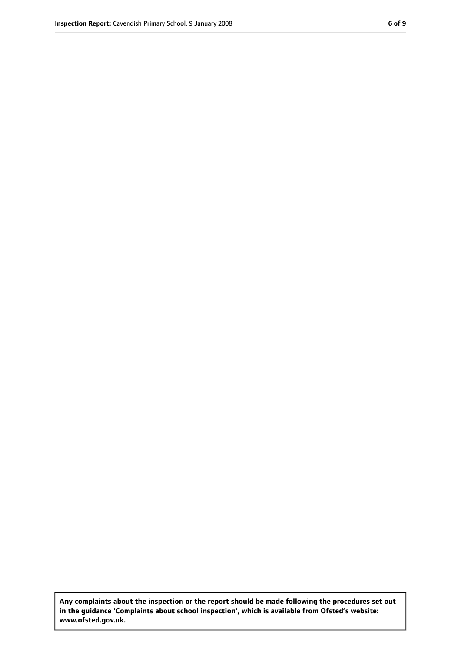**Any complaints about the inspection or the report should be made following the procedures set out in the guidance 'Complaints about school inspection', which is available from Ofsted's website: www.ofsted.gov.uk.**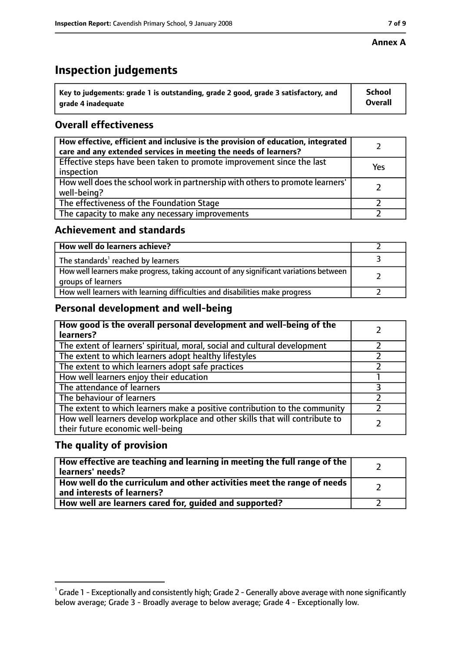#### **Annex A**

# **Inspection judgements**

| $^{\backprime}$ Key to judgements: grade 1 is outstanding, grade 2 good, grade 3 satisfactory, and | <b>School</b>  |
|----------------------------------------------------------------------------------------------------|----------------|
| arade 4 inadequate                                                                                 | <b>Overall</b> |

## **Overall effectiveness**

| How effective, efficient and inclusive is the provision of education, integrated<br>care and any extended services in meeting the needs of learners? |     |
|------------------------------------------------------------------------------------------------------------------------------------------------------|-----|
| Effective steps have been taken to promote improvement since the last<br>inspection                                                                  | Yes |
| How well does the school work in partnership with others to promote learners'<br>well-being?                                                         |     |
| The effectiveness of the Foundation Stage                                                                                                            |     |
| The capacity to make any necessary improvements                                                                                                      |     |

#### **Achievement and standards**

| How well do learners achieve?                                                                               |  |
|-------------------------------------------------------------------------------------------------------------|--|
| The standards <sup>1</sup> reached by learners                                                              |  |
| How well learners make progress, taking account of any significant variations between<br>groups of learners |  |
| How well learners with learning difficulties and disabilities make progress                                 |  |

#### **Personal development and well-being**

| How good is the overall personal development and well-being of the<br>learners?                                  |  |
|------------------------------------------------------------------------------------------------------------------|--|
| The extent of learners' spiritual, moral, social and cultural development                                        |  |
| The extent to which learners adopt healthy lifestyles                                                            |  |
| The extent to which learners adopt safe practices                                                                |  |
| How well learners enjoy their education                                                                          |  |
| The attendance of learners                                                                                       |  |
| The behaviour of learners                                                                                        |  |
| The extent to which learners make a positive contribution to the community                                       |  |
| How well learners develop workplace and other skills that will contribute to<br>their future economic well-being |  |

#### **The quality of provision**

| How effective are teaching and learning in meeting the full range of the<br>learners' needs?          |  |
|-------------------------------------------------------------------------------------------------------|--|
| How well do the curriculum and other activities meet the range of needs<br>and interests of learners? |  |
| How well are learners cared for, guided and supported?                                                |  |

 $^1$  Grade 1 - Exceptionally and consistently high; Grade 2 - Generally above average with none significantly below average; Grade 3 - Broadly average to below average; Grade 4 - Exceptionally low.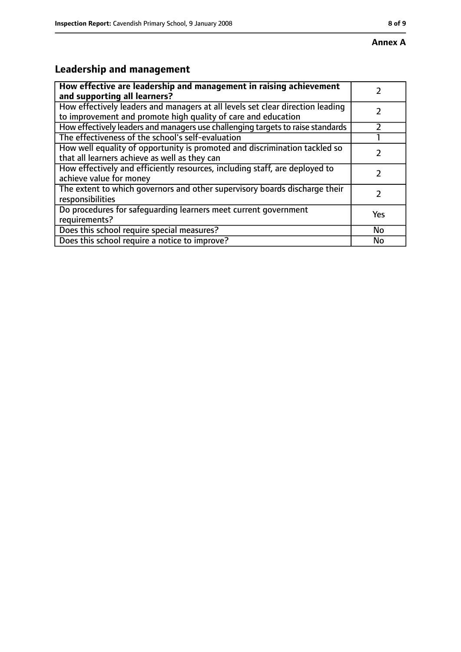# **Leadership and management**

| How effective are leadership and management in raising achievement<br>and supporting all learners?                                              |     |
|-------------------------------------------------------------------------------------------------------------------------------------------------|-----|
| How effectively leaders and managers at all levels set clear direction leading<br>to improvement and promote high quality of care and education |     |
| How effectively leaders and managers use challenging targets to raise standards                                                                 |     |
| The effectiveness of the school's self-evaluation                                                                                               |     |
| How well equality of opportunity is promoted and discrimination tackled so<br>that all learners achieve as well as they can                     |     |
| How effectively and efficiently resources, including staff, are deployed to<br>achieve value for money                                          |     |
| The extent to which governors and other supervisory boards discharge their<br>responsibilities                                                  |     |
| Do procedures for safequarding learners meet current government<br>requirements?                                                                | Yes |
| Does this school require special measures?                                                                                                      | No  |
| Does this school require a notice to improve?                                                                                                   | No  |